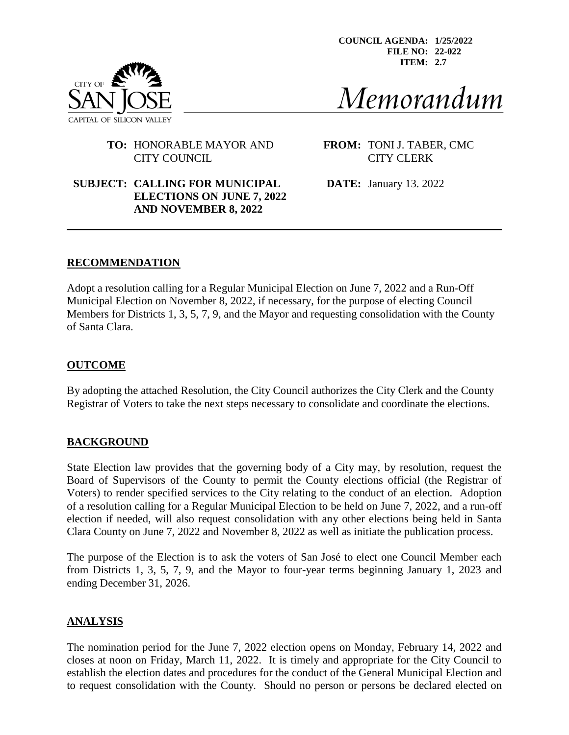**COUNCIL AGENDA: 1/25/2022 FILE NO: 22-022 ITEM: 2.7**



Memorandum

### **TO:** HONORABLE MAYOR AND **FROM:** TONI J. TABER, CMC CITY COUNCIL CITY CLERK

# **SUBJECT: CALLING FOR MUNICIPAL DATE:** January 13. 2022 **ELECTIONS ON JUNE 7, 2022 AND NOVEMBER 8, 2022**

### **RECOMMENDATION**

Adopt a resolution calling for a Regular Municipal Election on June 7, 2022 and a Run-Off Municipal Election on November 8, 2022, if necessary, for the purpose of electing Council Members for Districts 1, 3, 5, 7, 9, and the Mayor and requesting consolidation with the County of Santa Clara.

#### **OUTCOME**

By adopting the attached Resolution, the City Council authorizes the City Clerk and the County Registrar of Voters to take the next steps necessary to consolidate and coordinate the elections.

#### **BACKGROUND**

State Election law provides that the governing body of a City may, by resolution, request the Board of Supervisors of the County to permit the County elections official (the Registrar of Voters) to render specified services to the City relating to the conduct of an election. Adoption of a resolution calling for a Regular Municipal Election to be held on June 7, 2022, and a run-off election if needed, will also request consolidation with any other elections being held in Santa Clara County on June 7, 2022 and November 8, 2022 as well as initiate the publication process.

The purpose of the Election is to ask the voters of San José to elect one Council Member each from Districts 1, 3, 5, 7, 9, and the Mayor to four-year terms beginning January 1, 2023 and ending December 31, 2026.

#### **ANALYSIS**

The nomination period for the June 7, 2022 election opens on Monday, February 14, 2022 and closes at noon on Friday, March 11, 2022. It is timely and appropriate for the City Council to establish the election dates and procedures for the conduct of the General Municipal Election and to request consolidation with the County. Should no person or persons be declared elected on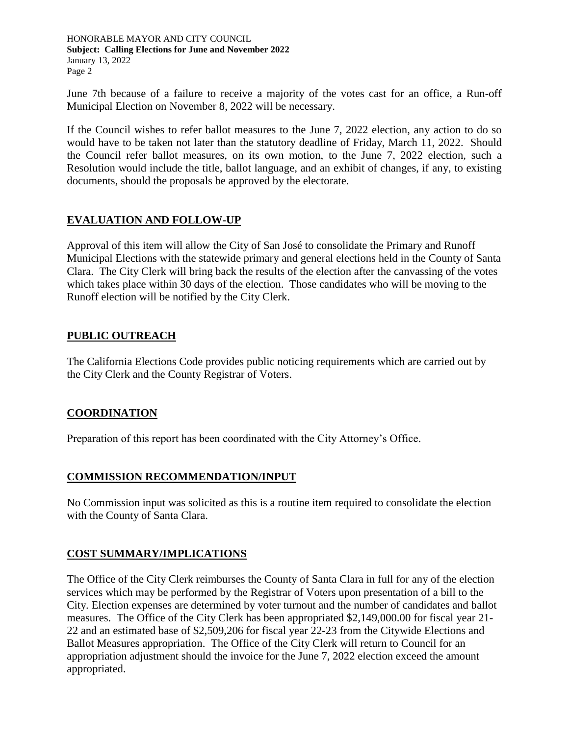HONORABLE MAYOR AND CITY COUNCIL **Subject: Calling Elections for June and November 2022** January 13, 2022 Page 2

June 7th because of a failure to receive a majority of the votes cast for an office, a Run-off Municipal Election on November 8, 2022 will be necessary.

If the Council wishes to refer ballot measures to the June 7, 2022 election, any action to do so would have to be taken not later than the statutory deadline of Friday, March 11, 2022. Should the Council refer ballot measures, on its own motion, to the June 7, 2022 election, such a Resolution would include the title, ballot language, and an exhibit of changes, if any, to existing documents, should the proposals be approved by the electorate.

# **EVALUATION AND FOLLOW-UP**

Approval of this item will allow the City of San José to consolidate the Primary and Runoff Municipal Elections with the statewide primary and general elections held in the County of Santa Clara. The City Clerk will bring back the results of the election after the canvassing of the votes which takes place within 30 days of the election. Those candidates who will be moving to the Runoff election will be notified by the City Clerk.

#### **PUBLIC OUTREACH**

The California Elections Code provides public noticing requirements which are carried out by the City Clerk and the County Registrar of Voters.

# **COORDINATION**

Preparation of this report has been coordinated with the City Attorney's Office.

# **COMMISSION RECOMMENDATION/INPUT**

No Commission input was solicited as this is a routine item required to consolidate the election with the County of Santa Clara.

# **COST SUMMARY/IMPLICATIONS**

The Office of the City Clerk reimburses the County of Santa Clara in full for any of the election services which may be performed by the Registrar of Voters upon presentation of a bill to the City. Election expenses are determined by voter turnout and the number of candidates and ballot measures. The Office of the City Clerk has been appropriated \$2,149,000.00 for fiscal year 21- 22 and an estimated base of \$2,509,206 for fiscal year 22-23 from the Citywide Elections and Ballot Measures appropriation. The Office of the City Clerk will return to Council for an appropriation adjustment should the invoice for the June 7, 2022 election exceed the amount appropriated.